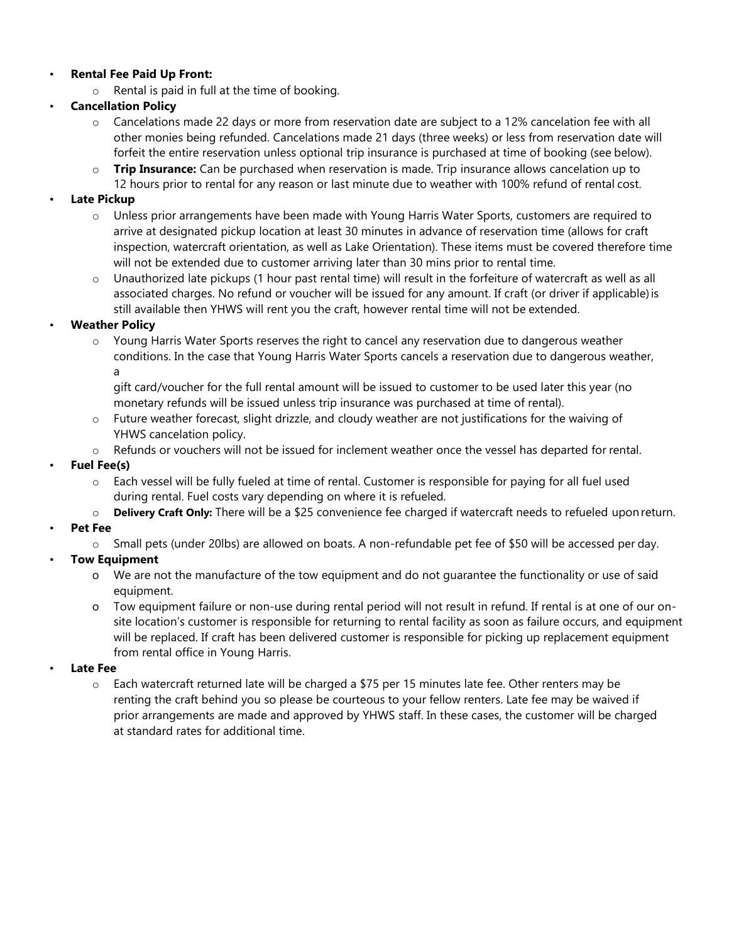## • **Rental Fee Paid Up Front:**

o Rental is paid in full at the time of booking.

# • **Cancellation Policy**

- o Cancelations made 22 days or more from reservation date are subject to a 12% cancelation fee with all other monies being refunded. Cancelations made 21 days (three weeks) or less from reservation date will forfeit the entire reservation unless optional trip insurance is purchased at time of booking (see below).
- o **Trip Insurance:** Can be purchased when reservation is made. Trip insurance allows cancelation up to 12 hours prior to rental for any reason or last minute due to weather with 100% refund of rental cost.

# • **Late Pickup**

- o Unless prior arrangements have been made with Young Harris Water Sports, customers are required to arrive at designated pickup location at least 30 minutes in advance of reservation time (allows for craft inspection, watercraft orientation, as well as Lake Orientation). These items must be covered therefore time will not be extended due to customer arriving later than 30 mins prior to rental time.
- o Unauthorized late pickups (1 hour past rental time) will result in the forfeiture of watercraft as well as all associated charges. No refund or voucher will be issued for any amount. If craft (or driver if applicable) is still available then YHWS will rent you the craft, however rental time will not be extended.

# • **Weather Policy**

o Young Harris Water Sports reserves the right to cancel any reservation due to dangerous weather conditions. In the case that Young Harris Water Sports cancels a reservation due to dangerous weather, a

gift card/voucher for the full rental amount will be issued to customer to be used later this year (no monetary refunds will be issued unless trip insurance was purchased at time of rental).

- o Future weather forecast, slight drizzle, and cloudy weather are not justifications for the waiving of YHWS cancelation policy.
- o Refunds or vouchers will not be issued for inclement weather once the vessel has departed for rental.

### • **Fuel Fee(s)**

- o Each vessel will be fully fueled at time of rental. Customer is responsible for paying for all fuel used during rental. Fuel costs vary depending on where it is refueled.
- o **Delivery Craft Only:** There will be a \$25 convenience fee charged if watercraft needs to refueled upon return.

### • **Pet Fee**

o Small pets (under 20lbs) are allowed on boats. A non-refundable pet fee of \$50 will be accessed per day.

# • **Tow Equipment**

- o We are not the manufacture of the tow equipment and do not guarantee the functionality or use of said equipment.
- o Tow equipment failure or non-use during rental period will not result in refund. If rental is at one of our onsite location's customer is responsible for returning to rental facility as soon as failure occurs, and equipment will be replaced. If craft has been delivered customer is responsible for picking up replacement equipment from rental office in Young Harris.

### • **Late Fee**

 $\circ$  Each watercraft returned late will be charged a \$75 per 15 minutes late fee. Other renters may be renting the craft behind you so please be courteous to your fellow renters. Late fee may be waived if prior arrangements are made and approved by YHWS staff. In these cases, the customer will be charged at standard rates for additional time.